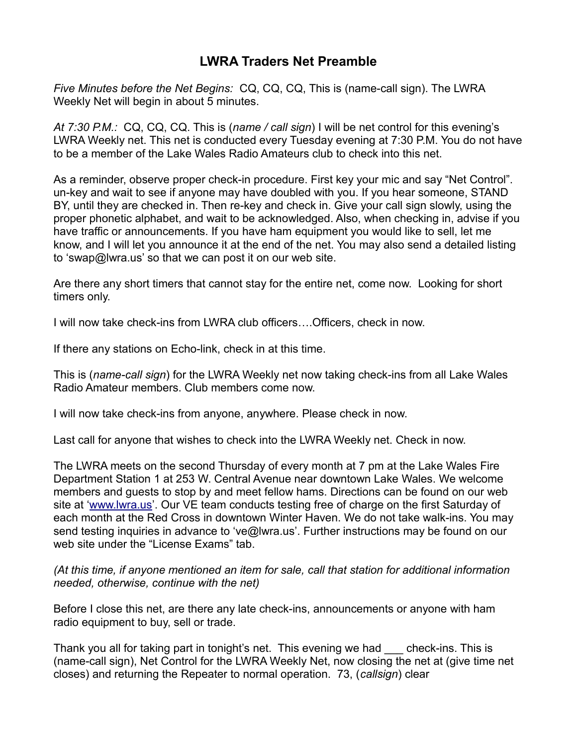## **LWRA Traders Net Preamble**

*Five Minutes before the Net Begins:* CQ, CQ, CQ, This is (name-call sign). The LWRA Weekly Net will begin in about 5 minutes.

*At 7:30 P.M.:* CQ, CQ, CQ. This is (*name / call sign*) I will be net control for this evening's LWRA Weekly net. This net is conducted every Tuesday evening at 7:30 P.M. You do not have to be a member of the Lake Wales Radio Amateurs club to check into this net.

As a reminder, observe proper check-in procedure. First key your mic and say "Net Control". un-key and wait to see if anyone may have doubled with you. If you hear someone, STAND BY, until they are checked in. Then re-key and check in. Give your call sign slowly, using the proper phonetic alphabet, and wait to be acknowledged. Also, when checking in, advise if you have traffic or announcements. If you have ham equipment you would like to sell, let me know, and I will let you announce it at the end of the net. You may also send a detailed listing to 'swap@lwra.us' so that we can post it on our web site.

Are there any short timers that cannot stay for the entire net, come now. Looking for short timers only.

I will now take check-ins from LWRA club officers….Officers, check in now.

If there any stations on Echo-link, check in at this time.

This is (*name-call sign*) for the LWRA Weekly net now taking check-ins from all Lake Wales Radio Amateur members. Club members come now.

I will now take check-ins from anyone, anywhere. Please check in now.

Last call for anyone that wishes to check into the LWRA Weekly net. Check in now.

The LWRA meets on the second Thursday of every month at 7 pm at the Lake Wales Fire Department Station 1 at 253 W. Central Avenue near downtown Lake Wales. We welcome members and guests to stop by and meet fellow hams. Directions can be found on our web site at ['www.lwra.us'](http://www.lwra.us/). Our VE team conducts testing free of charge on the first Saturday of each month at the Red Cross in downtown Winter Haven. We do not take walk-ins. You may send testing inquiries in advance to 've@lwra.us'. Further instructions may be found on our web site under the "License Exams" tab.

*(At this time, if anyone mentioned an item for sale, call that station for additional information needed, otherwise, continue with the net)*

Before I close this net, are there any late check-ins, announcements or anyone with ham radio equipment to buy, sell or trade.

Thank you all for taking part in tonight's net. This evening we had \_\_\_ check-ins. This is (name-call sign), Net Control for the LWRA Weekly Net, now closing the net at (give time net closes) and returning the Repeater to normal operation. 73, (*callsign*) clear